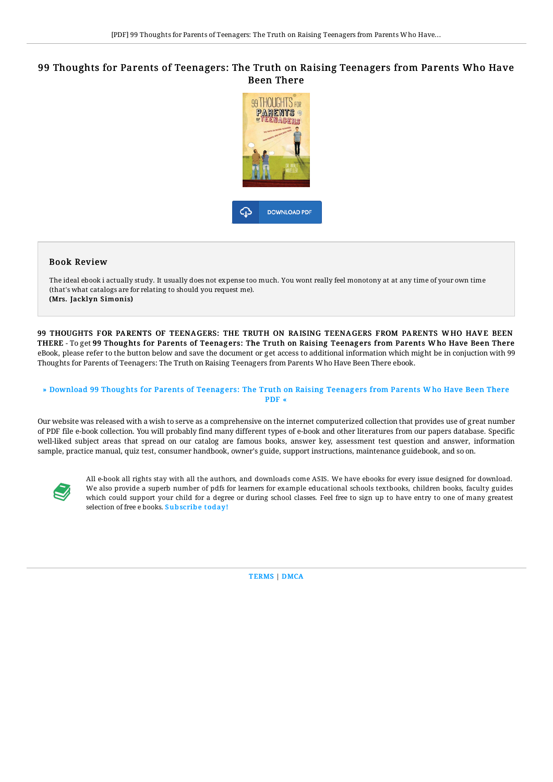# 99 Thoughts for Parents of Teenagers: The Truth on Raising Teenagers from Parents Who Have Been There



### Book Review

The ideal ebook i actually study. It usually does not expense too much. You wont really feel monotony at at any time of your own time (that's what catalogs are for relating to should you request me). (Mrs. Jacklyn Simonis)

99 THOUGHTS FOR PARENTS OF TEENAGERS: THE TRUTH ON RAISING TEENAGERS FROM PARENTS WHO HAVE BEEN THERE - To get 99 Thoughts for Parents of Teenagers: The Truth on Raising Teenagers from Parents Who Have Been There eBook, please refer to the button below and save the document or get access to additional information which might be in conjuction with 99 Thoughts for Parents of Teenagers: The Truth on Raising Teenagers from Parents Who Have Been There ebook.

#### » [Download](http://albedo.media/99-thoughts-for-parents-of-teenagers-the-truth-o.html) 99 Thoughts for Parents of Teenagers: The Truth on Raising Teenagers from Parents Who Have Been There PDF «

Our website was released with a wish to serve as a comprehensive on the internet computerized collection that provides use of great number of PDF file e-book collection. You will probably find many different types of e-book and other literatures from our papers database. Specific well-liked subject areas that spread on our catalog are famous books, answer key, assessment test question and answer, information sample, practice manual, quiz test, consumer handbook, owner's guide, support instructions, maintenance guidebook, and so on.



All e-book all rights stay with all the authors, and downloads come ASIS. We have ebooks for every issue designed for download. We also provide a superb number of pdfs for learners for example educational schools textbooks, children books, faculty guides which could support your child for a degree or during school classes. Feel free to sign up to have entry to one of many greatest selection of free e books. [Subscribe](http://albedo.media/99-thoughts-for-parents-of-teenagers-the-truth-o.html) today!